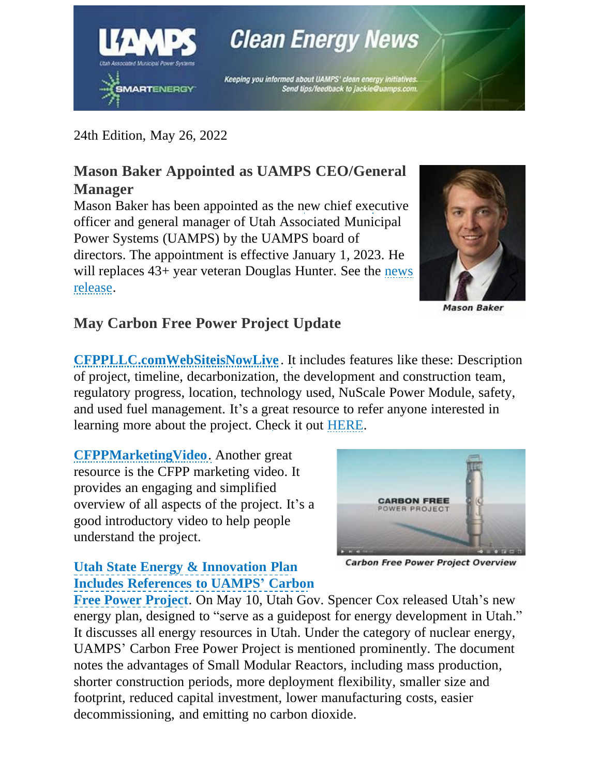

**Clean Energy News** 

Keeping you informed about UAMPS' clean energy initiatives. Send tips/feedback to jackie@uamps.com.

24th Edition, May 26, 2022

# **Mason Baker Appointed as UAMPS CEO/General Manager**

Mason Baker has been appointed as the new chief executive officer and general manager of Utah Associated Municipal Power Systems (UAMPS) by the UAMPS board of directors. The appointment is effective January 1, 2023. He will replaces 43+ year veteran Douglas Hunter. See the [news](https://davewebbmedia.com/uamps/images/UAMPS-New-Old-CEO.pdf) [release.](https://davewebbmedia.com/uamps/images/UAMPS-New-Old-CEO.pdf)



**Mason Baker** 

## **May Carbon Free Power Project Update**

**[CFPPLLC.comWebSiteisNowLive](https://www.cfppllc.com/)** . It includes features like these: Description of project, timeline, decarbonization, the development and construction team, regulatory progress, location, technology used, NuScale Power Module, safety, and used fuel management. It's a great resource to refer anyone interested in learning more about the project. Check it out [HERE.](https://www.cfppllc.com/)

**[CFPPMarketingVideo](https://www.youtube.com/watch?v=RpX139PZguA)**. Another great resource is the CFPP marketing video. It provides an engaging and simplified overview of all aspects of the project. It's a good introductory video to help people understand the project.



### **Utah State Energy & [Innovation](https://energy.utah.gov/plan/) Plan Includes [References](https://energy.utah.gov/plan/) to UAMPS' Carbon**

**Carbon Free Power Project Overview** 

**Free Power [Project](https://energy.utah.gov/plan/)**. On May 10, Utah Gov. Spencer Cox released Utah's new energy plan, designed to "serve as a guidepost for energy development in Utah." It discusses all energy resources in Utah. Under the category of nuclear energy, UAMPS' Carbon Free Power Project is mentioned prominently. The document notes the advantages of Small Modular Reactors, including mass production, shorter construction periods, more deployment flexibility, smaller size and footprint, reduced capital investment, lower manufacturing costs, easier decommissioning, and emitting no carbon dioxide.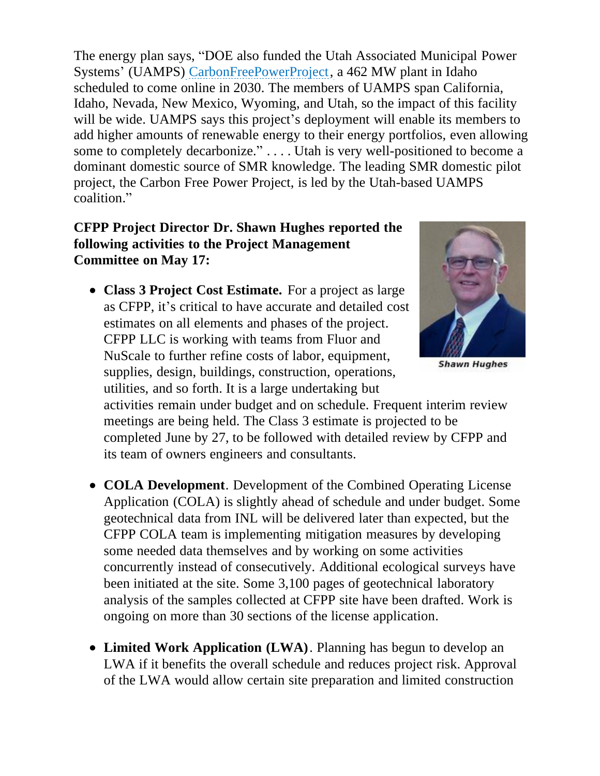The energy plan says, "DOE also funded the Utah Associated Municipal Power Systems' (UAMPS) [CarbonFreePowerProject,](https://www.ans.org/news/article-2300/with-doe-funds-in-hand-uamps-preps-for-nuscale-smr-licensing-phase/) a 462 MW plant in Idaho scheduled to come online in 2030. The members of UAMPS span California, Idaho, Nevada, New Mexico, Wyoming, and Utah, so the impact of this facility will be wide. UAMPS says this project's deployment will enable its members to add higher amounts of renewable energy to their energy portfolios, even allowing some to completely decarbonize." . . . . Utah is very well-positioned to become a dominant domestic source of SMR knowledge. The leading SMR domestic pilot project, the Carbon Free Power Project, is led by the Utah-based UAMPS coalition."

#### **CFPP Project Director Dr. Shawn Hughes reported the following activities to the Project Management Committee on May 17:**

**Class 3 Project Cost Estimate.** For a project as large as CFPP, it's critical to have accurate and detailed cost estimates on all elements and phases of the project. CFPP LLC is working with teams from Fluor and NuScale to further refine costs of labor, equipment, supplies, design, buildings, construction, operations, utilities, and so forth. It is a large undertaking but



**Shawn Hughes** 

activities remain under budget and on schedule. Frequent interim review meetings are being held. The Class 3 estimate is projected to be completed June by 27, to be followed with detailed review by CFPP and its team of owners engineers and consultants.

- **COLA Development**. Development of the Combined Operating License Application (COLA) is slightly ahead of schedule and under budget. Some geotechnical data from INL will be delivered later than expected, but the CFPP COLA team is implementing mitigation measures by developing some needed data themselves and by working on some activities concurrently instead of consecutively. Additional ecological surveys have been initiated at the site. Some 3,100 pages of geotechnical laboratory analysis of the samples collected at CFPP site have been drafted. Work is ongoing on more than 30 sections of the license application.
- **Limited Work Application (LWA)**. Planning has begun to develop an LWA if it benefits the overall schedule and reduces project risk. Approval of the LWA would allow certain site preparation and limited construction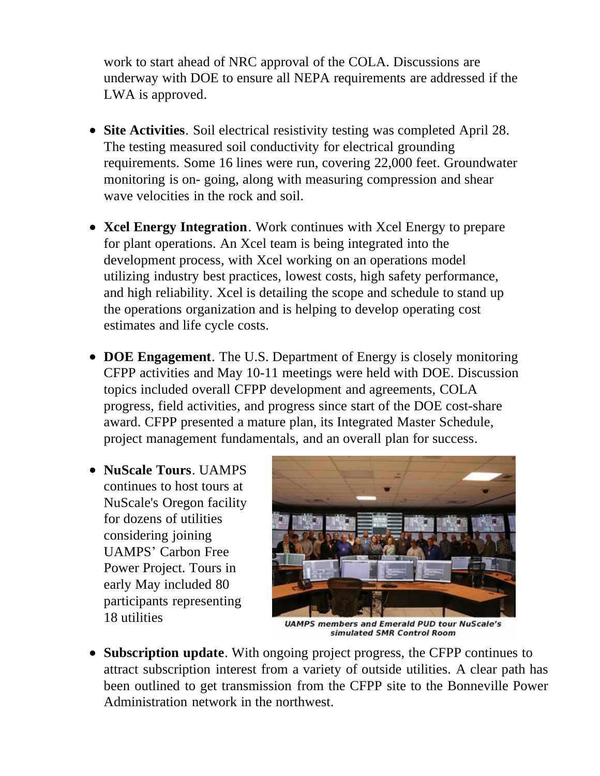work to start ahead of NRC approval of the COLA. Discussions are underway with DOE to ensure all NEPA requirements are addressed if the LWA is approved.

- **Site Activities**. Soil electrical resistivity testing was completed April 28. The testing measured soil conductivity for electrical grounding requirements. Some 16 lines were run, covering 22,000 feet. Groundwater monitoring is on- going, along with measuring compression and shear wave velocities in the rock and soil.
- **Xcel Energy Integration**. Work continues with Xcel Energy to prepare for plant operations. An Xcel team is being integrated into the development process, with Xcel working on an operations model utilizing industry best practices, lowest costs, high safety performance, and high reliability. Xcel is detailing the scope and schedule to stand up the operations organization and is helping to develop operating cost estimates and life cycle costs.
- **DOE Engagement**. The U.S. Department of Energy is closely monitoring CFPP activities and May 10-11 meetings were held with DOE. Discussion topics included overall CFPP development and agreements, COLA progress, field activities, and progress since start of the DOE cost-share award. CFPP presented a mature plan, its Integrated Master Schedule, project management fundamentals, and an overall plan for success.
- **NuScale Tours**. UAMPS continues to host tours at NuScale's Oregon facility for dozens of utilities considering joining UAMPS' Carbon Free Power Project. Tours in early May included 80 participants representing 18 utilities



**UAMPS members and Emerald PUD tour NuScale's** simulated SMR Control Room

**Subscription update**. With ongoing project progress, the CFPP continues to attract subscription interest from a variety of outside utilities. A clear path has been outlined to get transmission from the CFPP site to the Bonneville Power Administration network in the northwest.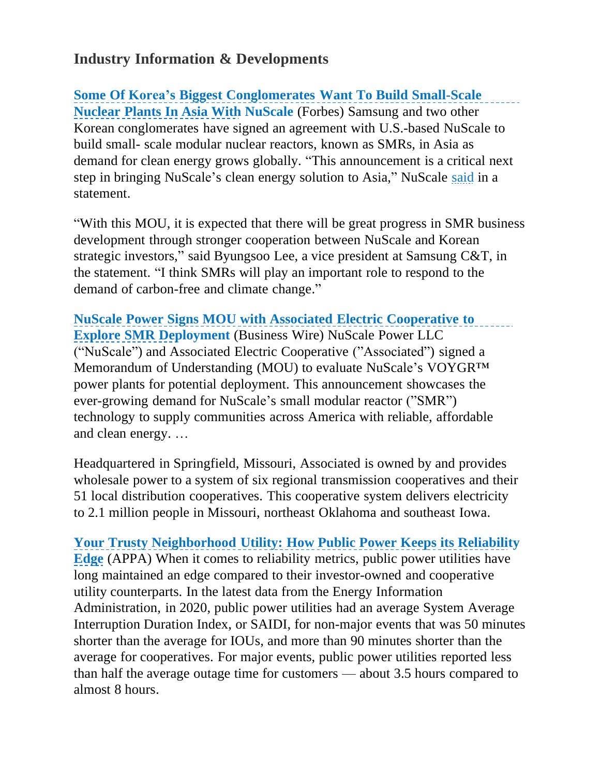## **Industry Information & Developments**

**Some Of Korea's Biggest [Conglomerates](https://www.forbes.com/sites/ralphjennings/2022/05/16/some-of-koreas-biggest-conglomerates-to-build-small-scale-nuclear-plants-in-asia/?sh=531bae806691) Want To Build Small-Scale [Nuclear](https://www.forbes.com/sites/ralphjennings/2022/05/16/some-of-koreas-biggest-conglomerates-to-build-small-scale-nuclear-plants-in-asia/?sh=531bae806691) Plants In Asia With NuScale** (Forbes) Samsung and two other Korean conglomerates have signed an agreement with U.S.-based NuScale to build small- scale modular nuclear reactors, known as SMRs, in Asia as demand for clean energy grows globally. "This announcement is a critical next step in bringing NuScale's clean energy solution to Asia," NuScale [said](https://ir.nuscalepower.com/news/news-details/2022/NuScale-Power-Signs-Memorandum-of-Understanding-with-GS-Energy-Doosan-and-Samsung-to-Explore-Small-Modular-Reactor-Deployment/default.aspx) in a statement.

"With this MOU, it is expected that there will be great progress in SMR business development through stronger cooperation between NuScale and Korean strategic investors," said Byungsoo Lee, a vice president at Samsung C&T, in the statement. "I think SMRs will play an important role to respond to the demand of carbon-free and climate change."

**NuScale Power Signs MOU with Associated Electric [Cooperative](https://www.businesswire.com/news/home/20220518006042/en/NuScale-Power-Signs-Memorandum-of-Understanding-with-Associated-Electric-Cooperative-to-Explore-SMR-Deployment) to [Explore](https://www.businesswire.com/news/home/20220518006042/en/NuScale-Power-Signs-Memorandum-of-Understanding-with-Associated-Electric-Cooperative-to-Explore-SMR-Deployment) SMR Deployment** (Business Wire) NuScale Power LLC ("NuScale") and Associated Electric Cooperative ("Associated") signed a Memorandum of Understanding (MOU) to evaluate NuScale's VOYGR™ power plants for potential deployment. This announcement showcases the ever-growing demand for NuScale's small modular reactor ("SMR") technology to supply communities across America with reliable, affordable and clean energy. …

Headquartered in Springfield, Missouri, Associated is owned by and provides wholesale power to a system of six regional transmission cooperatives and their 51 local distribution cooperatives. This cooperative system delivers electricity to 2.1 million people in Missouri, northeast Oklahoma and southeast Iowa.

**Your Trusty [Neighborhood](https://www.publicpower.org/periodical/article/your-trusty-neighborhood-utility-how-public-power-keeps-its-reliability-edge) Utility: How Public Power Keeps its Reliability Edge** (APPA) When it comes to reliability metrics, public power utilities have long maintained an edge compared to their investor-owned and cooperative utility counterparts. In the latest data from the Energy Information Administration, in 2020, public power utilities had an average System Average Interruption Duration Index, or SAIDI, for non-major events that was 50 minutes shorter than the average for IOUs, and more than 90 minutes shorter than the average for cooperatives. For major events, public power utilities reported less than half the average outage time for customers — about 3.5 hours compared to almost 8 hours.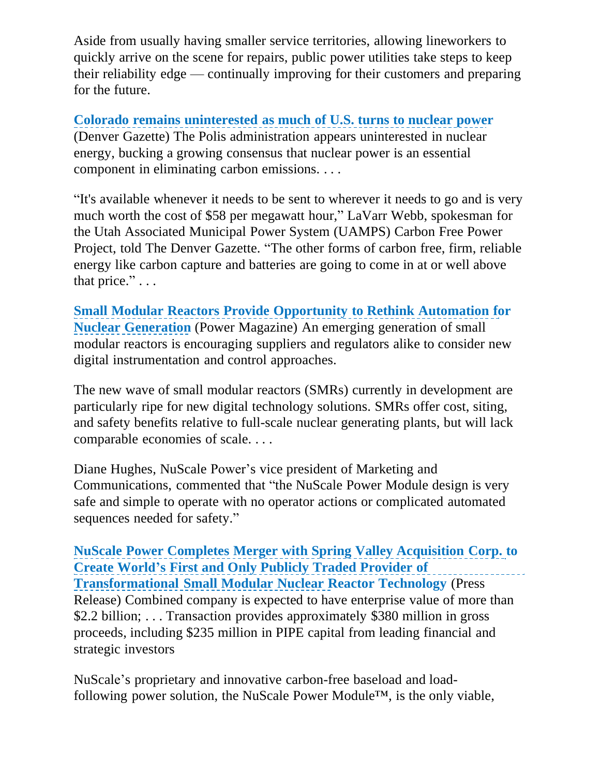Aside from usually having smaller service territories, allowing lineworkers to quickly arrive on the scene for repairs, public power utilities take steps to keep their reliability edge — continually improving for their customers and preparing for the future.

**Colorado remains [uninterested](https://gazette.com/news/environment/colorado-remains-uninterested-as-much-of-u-s-turns-to-nuclear-power/article_226091de-8153-5c15-98b5-1a92fe63db76.html) as much of U.S. turns to nuclear power** (Denver Gazette) The Polis administration appears uninterested in nuclear energy, bucking a growing consensus that nuclear power is an essential component in eliminating carbon emissions. . . .

"It's available whenever it needs to be sent to wherever it needs to go and is very much worth the cost of \$58 per megawatt hour," LaVarr Webb, spokesman for the Utah Associated Municipal Power System (UAMPS) Carbon Free Power Project, told The Denver Gazette. "The other forms of carbon free, firm, reliable energy like carbon capture and batteries are going to come in at or well above that price." $\ldots$ 

**Small Modular Reactors Provide [Opportunity](https://www.powermag.com/small-modular-reactors-provide-opportunity-to-rethink-automation-for-nuclear-generation/) to Rethink Automation for Nuclear Generation** (Power Magazine) An emerging generation of small modular reactors is encouraging suppliers and regulators alike to consider new digital instrumentation and control approaches.

The new wave of small modular reactors (SMRs) currently in development are particularly ripe for new digital technology solutions. SMRs offer cost, siting, and safety benefits relative to full-scale nuclear generating plants, but will lack comparable economies of scale. . . .

Diane Hughes, NuScale Power's vice president of Marketing and Communications, commented that "the NuScale Power Module design is very safe and simple to operate with no operator actions or complicated automated sequences needed for safety."

**NuScale Power Completes Merger with Spring Valley [Acquisition](https://newsroom.nuscalepower.com/press-releases/news-details/2022/NuScale-Power-Completes-Merger-with-Spring-Valley-Acquisition-Corp.-to-Create-Worlds-First-and-Only-Publicly-Traded-Provider-of-Transformational-Small-Modular-Nuclear-Reactor-Technology/default.aspx) Corp. to Create World's First and Only Publicly Traded Provider of Transformational Small Modular Nuclear Reactor Technology** (Press Release) Combined company is expected to have enterprise value of more than \$2.2 billion; ... Transaction provides approximately \$380 million in gross proceeds, including \$235 million in PIPE capital from leading financial and strategic investors

NuScale's proprietary and innovative carbon-free baseload and loadfollowing power solution, the NuScale Power Module<sup>TM</sup>, is the only viable,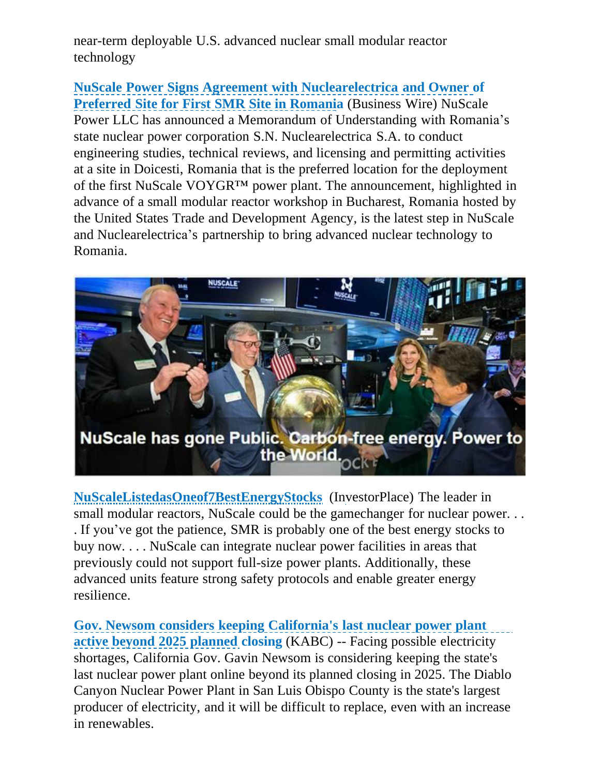near-term deployable U.S. advanced nuclear small modular reactor technology

**NuScale Power Signs Agreement with [Nuclearelectrica](https://newsroom.nuscalepower.com/press-releases/news-details/2022/NuScale-Power-Signs-Agreement-with-Nuclearelectrica-and-Owner-of-Preferred-Site-for-First-SMR-Site-in-Romania/default.aspx) and Owner of Preferred Site for First SMR Site in Romania** (Business Wire) NuScale Power LLC has announced a Memorandum of Understanding with Romania's state nuclear power corporation S.N. Nuclearelectrica S.A. to conduct engineering studies, technical reviews, and licensing and permitting activities at a site in Doicesti, Romania that is the preferred location for the deployment of the first NuScale VOYGR™ power plant. The announcement, highlighted in advance of a small modular reactor workshop in Bucharest, Romania hosted by the United States Trade and Development Agency, is the latest step in NuScale and Nuclearelectrica's partnership to bring advanced nuclear technology to Romania.



**[NuScaleListedasOneof7BestEnergyStocks](https://investorplace.com/2022/05/7-best-energy-stocks-to-buy-now-for-the-future/)** (InvestorPlace) The leader in small modular reactors, NuScale could be the gamechanger for nuclear power... . If you've got the patience, SMR is probably one of the best energy stocks to buy now. . . . NuScale can integrate nuclear power facilities in areas that previously could not support full-size power plants. Additionally, these advanced units feature strong safety protocols and enable greater energy resilience.

**Gov. Newsom considers keeping [California's](https://abc7.com/california-gavin-newsom-diablo-canyon-nuclear-power-plant-extension/11808118/) last nuclear power plant [active](https://abc7.com/california-gavin-newsom-diablo-canyon-nuclear-power-plant-extension/11808118/) beyond 2025 planned closing** (KABC) -- Facing possible electricity shortages, California Gov. Gavin Newsom is considering keeping the state's last nuclear power plant online beyond its planned closing in 2025. The Diablo Canyon Nuclear Power Plant in San Luis Obispo County is the state's largest producer of electricity, and it will be difficult to replace, even with an increase in renewables.